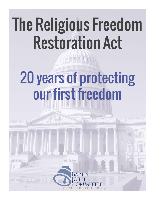## The Religious Freedom Restoration Act

# 20 years of protecting our first freedom

**IF WARE THEFT** 

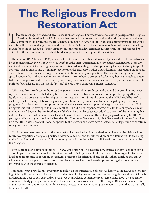## **The Religious Freedom Restoration Act**

Twenty years ago, a broad and diverse coalition of religious liberty advocates welcomed passage of the Religious Freedom Restoration Act (RFRA), a law that resulted from several years of hard work and reflected a shared commitment to protecting the free exercise of religion in America. RFRA created a statutory right that would apply broadly to ensure that government did not substantially burden the exercise of religion without a compelling reason for doing so. Known as "strict scrutiny" in constitutional law terminology, this stringent legal standard requires that the government satisfy a high burden of proof before infringing citizens' rights.

The story of RFRA began in 1990, when the U.S. Supreme Court shocked many religious and civil liberty advocates by announcing in *Employment Division v. Smith* that the First Amendment is not violated when neutral, generally applicable laws conflict with religious practices. This less demanding standard previously had applied only in specific contexts such as prisons and the military. *Smith* was a departure from other Court decisions interpreting the Free Exercise Clause as a far higher bar to government limitations on religious practices. The new standard generated widespread concern that it threatened minority and mainstream religious groups alike, leaving them vulnerable to potentially onerous government burdens on religion. In response, an extraordinary coalition of organizations coalesced to push for federal legislation that would "restore" the pre-*Smith* compelling interest standard.

RFRA was first introduced in the 101st Congress in 1990 and reintroduced in the 102nd Congress but was never reported out of committee, stalled largely as a result of concerns from Catholic and other pro-life groups that the legislation could create a claim for religiously-motivated abortion. Some also asserted that RFRA could be used to challenge the tax-exempt status of religious organizations or to prevent them from participating in government programs. In order to reach a compromise, and thereby garner greater support, the legislative record in the 103rd Congress was further developed to make clear that RFRA did not "expand, contract or alter the ability of a claimant to obtain relief" beyond the pre-*Smith* state of the law. Further, language was added to the text of the bill noting that it did not affect the First Amendment's Establishment Clause in any way. These changes paved the way for RFRA's passage, and it was signed into law by President Bill Clinton on November 16, 1993. Because the Supreme Court later held that RFRA was unconstitutional as applied to the states, many states have enacted similar legislation to constrain state government actions.

 Coalition members recognized at the time that RFRA provided a high standard for all free exercise claims without regard to any particular religious practice or desired outcome, and that it would produce different results according to the facts of individual disputes. Still, common ground lay in the belief that all Americans have a right to exercise their religion.

 Two decades later, opinions about RFRA vary. Some prior RFRA advocates now express concerns about its application in particular contexts, such as its interaction with civil rights and health care laws; others argue RFRA has not lived up to its promise of providing meaningful protection for religious liberty for all. Others conclude that RFRA, while not perfectly applied in every case, has on balance provided much needed protection against governmental interference with the exercise of religion.

This anniversary provides an opportunity to reflect on the current state of religious liberty, using RFRA as a lens for highlighting the importance of a shared understanding of religious freedom and considering the extent to which such understanding does or can exist today. Even as we acknowledge contemporary disagreements about the application of religious liberty principles, we should seek and cultivate areas of consensus. The story of RFRA serves as a reminder that cooperation and respect for differences are necessary to maximize religious freedom in ways that are mutually beneficial for all.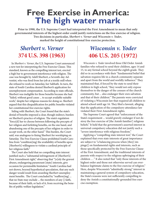## **Free Exercise in America: The high water mark**

**Prior to 1990, the U.S. Supreme Court had interpreted the First Amendment to mean that only governmental interests of the highest order could justify restrictions on the free exercise of religion. Two decisions in particular,** *Sherbert v. Verner* **and** *Wisconsin v. Yoder***, marked the height of constitutional free exercise protection.** 

## **Sherbert v. Verner 374 U.S. 398 (1963)**

 In *Sherbert v. Verner*, the U.S. Supreme Court announced a new test for interpreting the Free Exercise Clause. This standard, known as the compelling interest test, erected a high bar to government interference with religion. The case was brought by Adell Sherbert, a Seventh-day Adventist, who was fired from her job at a textile mill when she refused to work on Saturday, her Sabbath. In turn, the state of South Carolina denied Sherbert's application for unemployment compensation. According to state officials, Sherbert was ineligible for those benefits because she had "failed, without good cause ... to accept available suitable work," despite her religious reasons for doing so. Sherbert argued that this disqualification for public benefits violated her constitutional free exercise rights.

 Siding with Sherbert, the Court found that the state's denial of benefits imposed a clear, though indirect, burden on Sherbert's practice of religion. The state's regulation "force[d] her to choose between following the precepts of her religion and forfeiting benefits, on the one hand, and abandoning one of the precepts of her religion in order to accept work, on the other hand." This burden, the Court said, was analogous to fining Sherbert for worshiping on Saturday. The Free Exercise Clause prohibited South Carolina from "condition[ing] the availability of benefits upon [Sherbert's] willingness to violate a cardinal principle of her religious faith."

The Court also held that no compelling state interest justified such a "substantial infringement of [Sherbert's] First Amendment right," observing that "[o]nly the gravest abuses, endangering paramount [state] interests, give occasion for permissible limitation." South Carolina had not shown, beyond hypothetical speculation, that any such danger would result from awarding Sherbert unemployment benefits. The Court concluded by "reaffirm[ing] ... that no State may exclude ... the members of any [] faith, because of their faith, or lack of it, from receiving the benefits of public welfare legislation."

## **Wisconsin v. Yoder 406 U.S. 205 (1972)**

 *Wisconsin v. Yoder* involved three Old Order Amish families who refused to send their children, ages 14 and 15, to any formal school beyond the eighth grade. They did so in accordance with their "fundamental belief that salvation requires life in a church community separate and apart from the world and worldly influence." They maintained that, if forced by the state to send their children to high school, "they would not only expose themselves to the danger of the censure of the church community, but ... also endanger their own salvation and that of their children." The parents were convicted of violating a Wisconsin law that required all children to attend school until age 16. They filed a lawsuit, alleging that the application of the compulsory attendance law violated their First Amendment rights.

The Supreme Court agreed that "enforcement of the State's requirement ... would gravely endanger if not destroy the free exercise of [the Amish families'] religious beliefs." It held that the government's asserted interest in universal compulsory education did not justify such a "severe interference with religious freedom."

 Applying a "compelling state interest test," the Court explained that even state interests of great importance are subject to "a balancing process when [they] impinge[] on fundamental rights and interests, such as those specifically protected by the Free Exercise Clause of the First Amendment, and the traditional interests of parents with respect to the religious upbringing of their children ... ." It also noted that "only those interests of the highest order and those not otherwise served can overbalance legitimate claims to the free exercise of religion." Here, despite Wisconsin's "admittedly strong" interest in maintaining a general system of compulsory education, the State's reasons were not sufficiently compelling to deny the Amish a constitutionally-grounded free exercise exemption.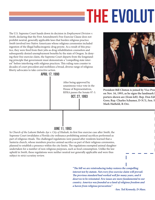## **FHE EVOLUT**

The U.S. Supreme Court hands down its decision in *Employment Division v*. *Smith*, declaring that the First Amendment's Free Exercise Clause does not prohibit neutral, generally applicable laws that burden religious practice. *Smith* involved two Native Americans whose religious ceremonies included ingestion of the illegal hallucinogenic drug peyote. As a result of this practice, they were fired from their jobs as drug rehabilitation counselors and subsequently denied unemployment benefits by the state of Oregon. In denying their free exercise claim, the Supreme Court departs from the longstanding principle that government must demonstrate a "compelling state interest" before interfering with religious practices. This ruling runs counter to decades of court precedent and mobilizes a broad, diverse range of religious liberty advocates to take corrective action.



RFRA passes the Senate 97-3.<br>**OCT. 27, 1993** After being approved by unanimous voice vote in the House of Representatives,



President Bill Clinton is joined by Vice Pres on Nov. 16, 1993, as he signs the landmark **R** porters shown are (from left): Rep. Don Edv **Gore; Rep. Charles Schumer, D-N.Y.; Sen. H Mark Hatfield, R-Ore.** 

### June 11, 1993

In *Church of the Lukumi Babalu Aye v. City of Hialeah*, its first free exercise case after *Smith*, the Supreme Court invalidates a Florida city ordinance prohibiting animal sacrifices performed as part of religious rituals. The challenged regulations were passed after residents learned that a Santeria church, whose members practice animal sacrifice as part of their religious ceremonies, planned to establish a presence within the city limits. The regulations exempted animal slaughter undertaken for a number of non-religious purposes, such as food consumption. Unlike the law upheld in *Smith*, these regulations were neither neutral nor generally applicable and were thus subject to strict scrutiny review.

> "The bill we are reintroducing today restores the compelling **interest test by statute. Not every free exercise claim will prevail.**  The previous standard had worked well for many years, and it **deserves to be reinstated. Few issues are more fundamental to our country. America was founded as a land of religious freedom and a haven from religious persecution."**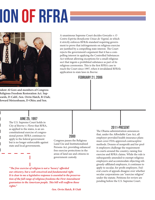# ION OF rfra



**sident Al Gore and members of Congress Religious Freedom Restoration Act. Supwards, D-Calif.; Sen. Orrin Hatch, R-Utah; Howard Metzenbaum, D-Ohio; and Sen.** 

A unanimous Supreme Court decides *Gonzales v. O*  Centro Espirita Beneficente Uniao do Vegetal, in which it strictly enforces RFRA's standard requiring government to prove that infringements on religious exercise are justified by a compelling state interest. The Court rejects the government's argument that it has a compelling interest in applying the Controlled Substances Act without allowing exceptions for a small religious sect that ingests a prohibited substance as part of its religious ceremonies. This is the first RFRA case to reach the Court since 1997, when it invalidated RFRA's application to state laws in *Boerne*.

February 21, 2006

#### JUNE 25, 1997

The U.S. Supreme Court holds in *City of Boerne v. Flores* that RFRA, as applied to the states, is an unconstitutional exercise of congressional power. RFRA continues to apply to the federal government but is no longer enforceable against state and local governments.

### 2000

Congress passes the Religious Land Use and Institutionalized Persons Act, providing enhanced free exercise protections in the areas of land use and citizens in government custody.

"The free exercise of religion is not a 'luxury' afforded **our citizenry, but a well conceived and fundamental right. It is clear to me a legislative response is essential to the preservation of the full range of religious freedoms the First Amendment**  guarantees to the American people. This bill will reaffirm those **rights."**

### 2011-PRESENT

The Obama administration announces that, under the Affordable Care Act, all employer-provided health insurance plans must cover FDA-approved contraceptive methods. Dozens of nonprofit and for-profit employers challenge the requirement in courts around the country, raising free exercise and RFRA claims. While the rule is subsequently amended to exempt religious employers and accommodate objecting religiously-affiliated employers, it continues to apply to secular, for-profit employers. Federal courts of appeals disagree over whether secular corporations can "exercise religion" under the statute. Petitions for review are pending before the U.S. Supreme Court.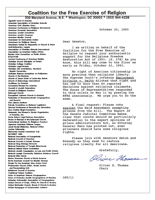### **Coalition for the Free Exercise of Religion**

200 Maryland Avenue, N.E. \* Washington, DC 20002 \* (202) 544-4226

**Agudath israel of America** American Association of Christian Schools **American Civil Liberties Union** American Conference on Religious Movements **American Humanist Association** American Jewish Committee **American Jewish Congress American Muslim Council Americans for Democratic Action Americans for Religious Liberty** Americans United for Separation of Church & State **Anti-Defamation League Association of Christian Schools International** Association on American Indian Affairs Baptist Joint Committee on Public Affairs **B'nal B'rith Central Conference of American Rabbis** Christian Church (Disciples of Christ) **Christian College Coalition Christian Legal Society** Christian Life Commission, Southern **Baptist Convention** Christian Science Committee on Publication **Church of the Brethren** Church of Jesus Christ of Latter-day Saints **Church of Scientology International Coalitions for America Concerned Women For America Council of Jewish Federations Council on Religious Freedom Enleconal Church Evangelical Lutheran Church in America Federation of Reconstructionist Congregations** and Havurot **First Liberty Institute** Friends Committee on National Legislation **General Conference of Seventh-day Adventists Guru Gobind Singh Foundation** Hadassah, the Women's Zionist Organization of America, Inc. Home School Legal Defense Association House of Bishops of the Episcopal Church International institute for Religious Freedom Japanese American Citizens League Jesuit Social Ministries, National Office **Justice Fellowship** Mennonite Central Committee U.S. **NA'AMAT USA National Association of Evangelicals National Council of Churches National Council of Jewish Women National Drug Strategy Network National Federation of Temple Sisterhoods National Islamic Prison Foundation** National Jewish Commission on Law and Public Affairs National Jewish Community Relations Advisory Council **National Sikh Center Native American Church of North America** North American Council For Muslim Women People For the American Way Action Fund Presbyterian Church (USA), Social Justice and Peacemaking Unit **Rabbinical Council of America Traditional Values Coalition** Union of American Hebrew Congregations Union of Orthodox Jewish Congregations of America Unitarian Universalist Association of Congregations United Church of Christ, Office for Church in Society United Methodist Church, Board of Church & Society United Synagogue of Conservative Judaism

October 20, 1993

Dear Senator,

I am writing on behalf of the Coalition for the Free Exercise of Religion to request your enthusiastic support for the Religious Freedom Restoration Act of 1993. (S. 578) As you know, this bill may come to the floor as early as Friday, October 22, 1993.

No right of American citizenship is more precious than religious liberty. The Supreme Court's infamous Employment Division v. Smith diluted that right and has led to more than 60 reported decisions against religious claimants. The House of Representatives responded to this crisis on May 11 by passing the RFRA unanimously. We urge you to do the same.

A final request: Please vote against the Reid Amendment exempting prisons from the bill. The Report of the Senate Judicial Committee makes clear that courts should be particularly deferential to the expert opinions of prison administrators but, as Attorney General Reno has pointed out, even prisoners should have some religious rights.

Please join with Senators Hatch and Kennedy as they seek to restore religious liberty for all Americans.

Gratefully,

Oliver Thomas

Oliver S. Thomas Chair

OST/li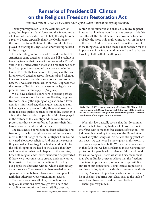## **Remarks of President Bill Clinton on the Religious Freedom Restoration Act**

*Delivered Nov. 16, 1993, on the South Lawn of the White House at the signing ceremony*

Thank you very much ... to the Members of Congress, the chaplains of the House and the Senate, and to all of you who worked so hard to help this day become a reality. Let me especially thank the Coalition for the Free Exercise of Religion for the central role they played in drafting this legislation and working so hard for its passage.

 It is interesting to note ... what a broad coalition of Americans came together to make this bill a reality; interesting to note that the coalition produced a 97-to-3 vote in the United States Senate and a bill that had such broad support it was adopted on a voice vote in the House. I'm told that, as many of the people in the coalition worked together across ideological and religious lines, some new friendships were formed and some new trust was established, which shows, I suppose that the power of God is such that even in the legislative process miracles can happen. [*Laughter*]

 We all have a shared desire here to protect perhaps the most precious of all American liberties, religious freedom. Usually the signing of legislation by a President is a ministerial act, often a quiet ending to a turbulent legislative process. Today this event assumes a more majestic quality because of our ability together to affirm the historic role that people of faith have played in the history of this country and the constitutional protections those who profess and express their faith have always demanded and cherished. ...

The free exercise of religion has been called the first freedom, that which originally sparked the development of the full range of the Bill of Rights. Our Founders cared a lot about religion. And one of the reasons they worked so hard to get the first amendment into the Bill of Rights at the head of the class is that they well understood what could happen to this country, how both religion and Government could be perverted if there were not some space created and some protection provided. They knew that religion helps to give our people the character without which a democracy cannot survive. They knew that there needed to be a space of freedom between Government and people of faith that otherwise Government might usurp.

They have seen now, all of us, that religion and religious institutions have brought forth faith and discipline, community and responsibility over two centuries for ourselves and enabled us to live together in ways that I believe would not have been possible. We are, after all, the oldest democracy now in history and probably the most truly multiethnic society on the face of the Earth. And I am convinced that neither one of those things would be true today had it not been for the importance of the first amendment and the fact that we have kept faith with it for 200 years.



At the Nov. 16, 1993, signing ceremony, President Bill Clinton (left) shares a laugh with Oliver Thomas (right), the chair of the Coalition **for the Free Exercise of Religion, and James Dunn (center), the executive director of the Baptist Joint Committee.**

 What this law basically says is that the Government should be held to a very high level of proof before it interferes with someone's free exercise of religion. This judgment is shared by the people of the United States as well as by the Congress. We believe strongly that we can never, we can never be too vigilant in this work. ...

 ... We are a people of faith. We have been so secure in that faith that we have enshrined in our Constitution protection for people who profess no faith. And good for us for doing so. That is what the first amendment is all about. But let us never believe that the freedom of religion imposes on any of us some responsibility to run from our convictions. Let us instead respect one another's faiths, fight to the death to preserve the rights of every American to practice whatever convictions he or she has, but bring our values back to the table of American discourse to heal our troubled land.

Thank you very much.